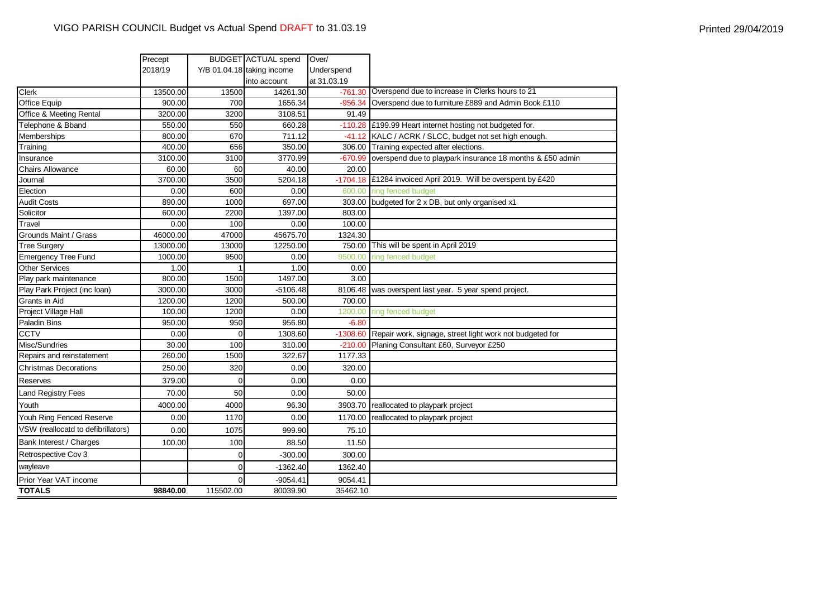|                                    | Precept  |                | <b>BUDGET</b> ACTUAL spend | Over/       |                                                               |
|------------------------------------|----------|----------------|----------------------------|-------------|---------------------------------------------------------------|
|                                    | 2018/19  |                | Y/B 01.04.18 taking income | Underspend  |                                                               |
|                                    |          |                | into account               | at 31.03.19 |                                                               |
| Clerk                              | 13500.00 | 13500          | 14261.30                   | $-761.30$   | Overspend due to increase in Clerks hours to 21               |
| <b>Office Equip</b>                | 900.00   | 700            | 1656.34                    | $-956.34$   | Overspend due to furniture £889 and Admin Book £110           |
| Office & Meeting Rental            | 3200.00  | 3200           | 3108.51                    | 91.49       |                                                               |
| Telephone & Bband                  | 550.00   | 550            | 660.28                     | $-110.28$   | £199.99 Heart internet hosting not budgeted for.              |
| Memberships                        | 800.00   | 670            | 711.12                     | $-41.12$    | KALC / ACRK / SLCC, budget not set high enough.               |
| Training                           | 400.00   | 656            | 350.00                     | 306.00      | Training expected after elections.                            |
| Insurance                          | 3100.00  | 3100           | 3770.99                    | $-670.99$   | overspend due to playpark insurance 18 months & £50 admin     |
| <b>Chairs Allowance</b>            | 60.00    | 60             | 40.00                      | 20.00       |                                                               |
| Journal                            | 3700.00  | 3500           | 5204.18                    |             | -1704.18 £1284 invoiced April 2019. Will be overspent by £420 |
| Election                           | 0.00     | 600            | 0.00                       | 600.00      | ring fenced budget                                            |
| <b>Audit Costs</b>                 | 890.00   | 1000           | 697.00                     |             | 303.00 budgeted for 2 x DB, but only organised x1             |
| Solicitor                          | 600.00   | 2200           | 1397.00                    | 803.00      |                                                               |
| Travel                             | 0.00     | 100            | 0.00                       | 100.00      |                                                               |
| Grounds Maint / Grass              | 46000.00 | 47000          | 45675.70                   | 1324.30     |                                                               |
| <b>Tree Surgery</b>                | 13000.00 | 13000          | 12250.00                   | 750.00      | This will be spent in April 2019                              |
| <b>Emergency Tree Fund</b>         | 1000.00  | 9500           | 0.00                       | 9500.00     | ring fenced budget                                            |
| <b>Other Services</b>              | 1.00     |                | 1.00                       | 0.00        |                                                               |
| Play park maintenance              | 800.00   | 1500           | 1497.00                    | 3.00        |                                                               |
| Play Park Project (inc loan)       | 3000.00  | 3000           | $-5106.48$                 | 8106.48     | was overspent last year. 5 year spend project.                |
| Grants in Aid                      | 1200.00  | 1200           | 500.00                     | 700.00      |                                                               |
| Project Village Hall               | 100.00   | 1200           | 0.00                       | 1200.00     | ring fenced budget                                            |
| <b>Paladin Bins</b>                | 950.00   | 950            | 956.80                     | $-6.80$     |                                                               |
| <b>CCTV</b>                        | 0.00     | $\Omega$       | 1308.60                    | $-1308.60$  | Repair work, signage, street light work not budgeted for      |
| Misc/Sundries                      | 30.00    | 100            | 310.00                     | $-210.00$   | Planing Consultant £60, Surveyor £250                         |
| Repairs and reinstatement          | 260.00   | 1500           | 322.67                     | 1177.33     |                                                               |
| <b>Christmas Decorations</b>       | 250.00   | 320            | 0.00                       | 320.00      |                                                               |
| Reserves                           | 379.00   | $\Omega$       | 0.00                       | 0.00        |                                                               |
| <b>Land Registry Fees</b>          | 70.00    | 50             | 0.00                       | 50.00       |                                                               |
| Youth                              | 4000.00  | 4000           | 96.30                      | 3903.70     | reallocated to playpark project                               |
| Youh Ring Fenced Reserve           | 0.00     | 1170           | 0.00                       | 1170.00     | reallocated to playpark project                               |
| VSW (reallocatd to defibrillators) | 0.00     | 1075           | 999.90                     | 75.10       |                                                               |
| Bank Interest / Charges            | 100.00   | 100            | 88.50                      | 11.50       |                                                               |
| Retrospective Cov 3                |          | $\overline{0}$ | $-300.00$                  | 300.00      |                                                               |
| wayleave                           |          | $\Omega$       | $-1362.40$                 | 1362.40     |                                                               |
| Prior Year VAT income              |          | 0              | $-9054.41$                 | 9054.41     |                                                               |
| <b>TOTALS</b>                      | 98840.00 | 115502.00      | 80039.90                   | 35462.10    |                                                               |